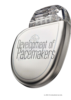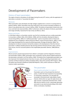# Development of Pacemakers

# History of heart pacemakers

The origins of electric-stimulation of cells began during the early  $18<sup>th</sup>$  century, with the application of electrodes on animals to "resuscitate the dead."

## Obstacles:

When pacemakers were developed, the high voltages supplied were a concern in causing shock to patients (Jeffrey, 2003). Pacemakers that were faulty due to the corrosive and damp conditions of where it was placed were also a concern (Jeffrey, 2003). The battery of pacemakers lasted only a few hours and had to be improved (Allan, 2003). Furthermore, before the advent of silicone; pacemakers were large and bulky, impractical for day-to-day use (Marcus, 2011).

## Names and times:

In 1916 Mark Lidham, an Australian scientist, was the first to develop and use a cardiac pacemaker to resuscitate a stillborn (Nick, 2011) (Mellor, 2008), with the stimulation allowing the baby to resume living (Jeffrey, 2003). An "artificial pacemaker" used to resuscitate victims of shock and hypothermia was completed in 1932 by American Alfred S. Hyman (Prutchi & Norris, 2005). In 1951, John Hopps developed the first external artificial pacemaker (Finnigan & Westlind, 2009). The development of silicone transistors formed the catalyst on the development of the first internal pacemaker in 1958 by Swedish physician Ake Senning and Rune Elmqvist (Prutchi, 2012), used on Arne Larsson, the first successful patient of the implantable pacemaker (Altman, 1998) (Altman, 2002).

#### Improvements:

Silicone proved a pivotal improvement from Lidham's contraption and the integration of titanium into pacemakers (Jeffrey, 2003), pacemakers were compacted, and the silicone helped waterproof the pacemakers and keep it rust-free (Jeffrey, 2003). The battery life of implantable pacemakers was also improved, from being functional a few hours to years, with the patenting of pacemakers and invention of lithium batteries by Wilson Greatbach (Kelly, 2011) (The Lemelson-MIT Program, 1997). The patent was licensed to Medtronic (Daily Mail Reporter, 2011), which continues to make and improve modern pacemakers.



*Figure 1 A diagram of how the pacemaker connects to the heart*

## The pacemaker

## How it works and what it is made of:

Pacemakers work on the principal that electrical pulses, in which the heart responds to by expanding or contracting, respectively, can stimulate the sinusoidal or atrioventricular nodes (Better Health Channel, 2012) which act upon the right atrium and right ventricle, respectively (Cleveland Clinic, 2010). With aid of an electric circuit, a pacemaker generates and sends its own electrical pulse (Mayo Clinic Staff, 2013), to stimulate a heartbeat.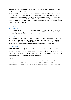An implant pacemaker is planted around the areas of the collarbone, chest, or abdomen (Jeffrey, 2003), below the skin (Better Health Channel, 2012).

Modern pacemakers are made with silicone, to protect the pacemaker's internals (its battery and circuit) from the wet and corrosive environment of the body (Jeffrey, 2003). Thin "hair-like" pacing lead serves as a link from the pacemaker to the heart's nodes, to both conduct the electricity from the pacemaker and to stimulate the SN and AV nodes. This pacing lead is typically placed alongside a vein and is required to be flexible. Corrosion-free lithium batteries are used to power the pacemaker (The Lemelson-MIT Program, 1997).

# The types of pacemakers:

## Single chamber

Single chamber pacemakers only send electrical pulses to one of the ventricles of the heart being either the right atrium or right ventricle. This pacemaker is used if the sinusoidal node is too slow or is delayed but both nodes remain functional. (Ehrman, et al., 2013)

## Dual chamber

Double chamber pacemakers has a lead in the atrium and a lead in the ventricle which enables it to send a coordinated pulse to both your right atrium and your right ventricle, to fully stimulate the beating function of a heart (Gertsch, 2003). This type of pacemaker is used when the heart fails to beat in sync when a sinusoidal or atrioventricular block occurs (Chow & Buxton, 2008).

## Rate responsive

Rate responsive pacemakers are able to receive, analyse, and respond to the body's sensors, to attempts to mimic the native heart rate (Kenny, 2011). This is done by incorporating a sensor system to either the pacemaker or its lead, to measure body motion, the body's pH levels and other factors that typically influence the heart rate. Rate responsive pacemakers can be integrated as part of both single and dual chamber pacemakers (Serdijn & Haddad, 2009).

## Notes:

The question in the assessment sheet was ambiguous; the heart has a natural pacemaker and hence cannot be invented. Furthermore, there is a distinct difference between pacemakers and implantable pacemakers; I will be covering the both development of pacemakers and implantable pacemakers.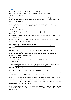## References

Allan, R., 2003. *A Short History Of The Pacemaker.* [Online] Available at: http://electronicdesign.com/components/short-history-pacemaker [Accessed 31 January 2014].

Altman, L. K., 1998. *After 40 Years, Pacemakers Are Smarter and Safer.* [Online] Available at: http://partners.nytimes.com/library/national/science/102798sci-health-pace.html [Accessed 31 January 2014].

Altman, L. K., 2002. *Arne H. W. Larsson, 86; Had First Internal Pacemaker.* [Online] Available at: http://www.nytimes.com/2002/01/18/world/arne-h-w-larsson-86-had-first-internalpacemaker.html [Accessed 31 January 2014].

Better Health Channel, 2012. *Artificial cardiac pacemakers.* [Online] Available at: http://www.betterhealth.vic.gov.au/bhcv2/bhcarticles.nsf/pages/Artificial\_cardiac\_pacemakers [Accessed 31 January 2014].

Chow, A. W. C. & Buxton, A. E., 2008. *Implantable Cardiac Pacemakers and Defibrillators: All You Wanted to Know.* s.l.:John Wiley & Sons.

Cleveland Clinic, 2010. *Pacemaker Implant.* [Online] Available at: http://my.clevelandclinic.org/heart/services/procedures/pacemaker.aspx [Accessed 31 January 2014].

Daily Mail Reporter, 2011. *An engineer with heart: Wilson Greatbatch, the 'humble tinkerer' who invented the pacemaker, dies at 92.* [Online] Available at: http://www.dailymail.co.uk/news/article-2042741/Wilson-Greatbatch-humbletinkerer-invented-pacemaker-dies-92.html [Accessed 31 January 2014].

Ehrman, J. K., Gordon, P. M., Visich, P. S. & Keteyian, S. J., 2013. *Clinical Exercise Physiology.*  s.l.:Human Kinetics.

Finnigan, P. & Westlind, P., 2009. *IEEE Honours Development of Pacemaker in Toronto.* [Online] Available at: http://toronto.ieee.ca/pacemaker/CRxx\_Pacemaker\_Milestone.pdf [Accessed 31 January 2014].

Gertsch, M., 2003. *The ECG: A Two-Step Approach to Diagnosis.* s.l.:Springer.

Jeffrey, K., 2003. ''ALL OF A SUDDEN IT STARTED TO PUMP''. In: *Machines in Our Hearts: The Cardiac Pacemaker, the Implantable Defibrillator.* s.l.:JHU Press, pp. 75-78.

Jeffrey, K., 2003. CRITICAL PROBLEMS: ENCAPSULATION AND A PACING LEAD. In: *Machines in Our Hearts: The Cardiac Pacemaker, the Implantable Defibrillator.* s.l.:JHU Press, pp. 100-103.

Jeffrey, K., 2003. PACING GOES NUCLEAR. In: *Machines in Our Hearts: The Cardiac Pacemaker, the Implantable Defibrillator.* s.l.:JHU Press, pp. 115-117.

Jeffrey, K., 2003. PAUL ZOLL AND THE FIRST CYCLE OF INNOVATION IN PACING. In: *Machines in Our Hearts: The Cardiac Pacemaker, the Implantable Defibrillator, and American Health Care.* s.l.:JHU Press, pp. 54-56.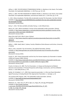Jeffrey, K., 2003. THE DIFFUSION OF TRANSVENOUS PACING. In: *Machines in Our Hearts: The Cardiac Pacemaker, the Implantable Defibrillator.* s.l.:JHU Press, pp. 121-124.

Jeffrey, K., 2003. THE FIRST INVENTION OF CARDIAC PACING. In: *Machines in Our Hearts: The Cardiac Pacemaker, the Implantable Defibrillator, and American Health Care.* s.l.:JHU Press, pp. 27-35.

K., 2011. *Wilson Greatbatch, The Man Who Accidentally Invented The Pacemaker, Has Died.* [Online] Available at: http://gizmodo.com/5844558/wilson-greatbatch-the-man-who-accidentally-inventedthe-pacemaker-has-died

[Accessed 31 January 2014].

Kenny, T., 2011. *The Nuts and Bolts of Cardiac Pacing.* s.l.:John Wiley & Sons.

Marcus, W., 2011. *Wilson Greatbatch: Inventor of the implantable cardiac pacemaker.* [Online] Available at: http://www.independent.co.uk/news/obituaries/wilson-greatbatch-inventor-of-theimplantable-cardiac-pacemaker-2363206.html

[Accessed 31 January 2014].

Mayo Clinic Staff, 2013. *Why it's done.* [Online] Available at: http://www.mayoclinic.org/tests-procedures/pacemaker/basics/why-its-done/PRC-20014279

[Accessed 31 January 2014].

Mellor, L., 2008. *Lidwill, Mark C,* Sydney: Faculty of Medicine Online Museum and Archive, University of Sydney.

Nick, B., 2011. *Australia's Top 10 Inventions: The Artificial Pacemaker.* [Online] Available at: http://www.gizmodo.com.au/2011/01/australias-top-10-inventions-the-artificialpacemaker/ [Accessed 31 January 2014].

Prutchi, D., 2012. *Elema-Schoenander and the Very First Human Implants of a Pacemaker in Sweden (1958) and Uruguay (1960).* [Online] Available at: http://www.implantable-device.com/2012/01/23/elema-schoenander-and-the-veryfirst-human-implants-of-a-pacemaker-in-sweden-1958-and-uruguay-1960/

[Accessed 31 January 2013].

Prutchi, D. & Norris, M., 2005. The First Pacemakers. In: *Design and Development of Medical Electronic Instrumentation: A Practical Perspective of the Design, Construction, and Test of Medical Devices.* s.l.:John Wiley & Sons, p. 372.

Serdijn, W. & Haddad, S. A. P., 2009. Rate-responsive pacemaker. In: *Ultra Low-Power Biomedical Signal Processing: An Analog Wavelet Filter Approach for Pacemakers.* s.l.:Springer, p. 26.

The Lemelson-MIT Program, 1997. *The implantable cardiac pacemaker.* [Online] Available at: http://web.mit.edu/invent/iow/greatbatch.html [Accessed 31 January 2014].

Medtronic, Inc., 2013, Viva\_XT\_CRT-D\_high\_res\_image\_left\_view.jpg, [Photograph] Available at: http://media.corporateir.net/media\_files/IROL/25/251324/Images/May%202013/Viva\_XT\_CRT-D high res image left view.jpg

[Accessed 31 January 2014].